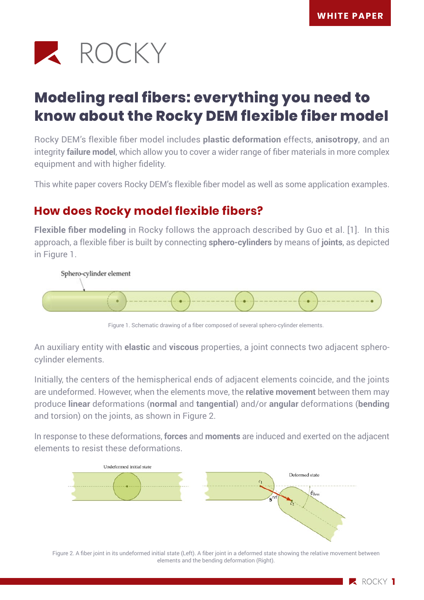

# **Modeling real fibers: everything you need to know about the Rocky DEM flexible fiber model**

Rocky DEM's flexible fiber model includes **plastic deformation** effects, **anisotropy**, and an integrity **failure model**, which allow you to cover a wider range of fiber materials in more complex equipment and with higher fidelity.

This white paper covers Rocky DEM's flexible fiber model as well as some application examples.

# **How does Rocky model flexible fibers?**

**Flexible fiber modeling** in Rocky follows the approach described by Guo et al. [1]. In this approach, a flexible fiber is built by connecting **sphero-cylinders** by means of **joints**, as depicted in Figure 1.



Figure 1. Schematic drawing of a fiber composed of several sphero-cylinder elements.

An auxiliary entity with **elastic** and **viscous** properties, a joint connects two adjacent spherocylinder elements.

Initially, the centers of the hemispherical ends of adjacent elements coincide, and the joints are undeformed. However, when the elements move, the **relative movement** between them may produce **linear** deformations (**normal** and **tangential**) and/or **angular** deformations (**bending**  and torsion) on the joints, as shown in Figure 2.

In response to these deformations, **forces** and **moments** are induced and exerted on the adjacent elements to resist these deformations.



Figure 2. A fiber joint in its undeformed initial state (Left). A fiber joint in a deformed state showing the relative movement between elements and the bending deformation (Right).

**2** ROCKY 1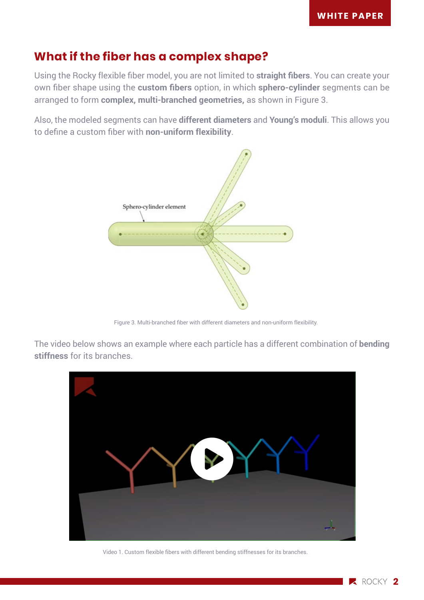## **What if the fiber has a complex shape?**

Using the Rocky flexible fiber model, you are not limited to **straight fibers**. You can create your own fiber shape using the **custom fibers** option, in which **sphero-cylinder** segments can be arranged to form **complex, multi-branched geometries,** as shown in Figure 3.

Also, the modeled segments can have **different diameters** and **Young's moduli**. This allows you to define a custom fiber with **non-uniform flexibility**.



Figure 3. Multi-branched fiber with different diameters and non-uniform flexibility.

The video below shows an example where each particle has a different combination of **bending stiffness** for its branches.



Video 1. Custom flexible fibers with different bending stiffnesses for its branches.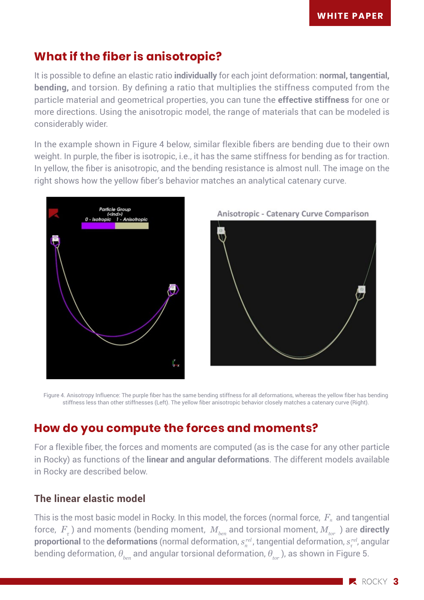## **What if the fiber is anisotropic?**

It is possible to define an elastic ratio **individually** for each joint deformation: **normal, tangential, bending,** and torsion. By defining a ratio that multiplies the stiffness computed from the particle material and geometrical properties, you can tune the **effective stiffness** for one or more directions. Using the anisotropic model, the range of materials that can be modeled is considerably wider.

In the example shown in Figure 4 below, similar flexible fibers are bending due to their own weight. In purple, the fiber is isotropic, i.e., it has the same stiffness for bending as for traction. In yellow, the fiber is anisotropic, and the bending resistance is almost null. The image on the right shows how the yellow fiber's behavior matches an analytical catenary curve.





Figure 4. Anisotropy Influence: The purple fiber has the same bending stiffness for all deformations, whereas the yellow fiber has bending stiffness less than other stiffnesses (Left). The yellow fiber anisotropic behavior closely matches a catenary curve (Right).

# **How do you compute the forces and moments?**

For a flexible fiber, the forces and moments are computed (as is the case for any other particle in Rocky) as functions of the **linear and angular deformations**. The different models available in Rocky are described below.

#### **The linear elastic model**

This is the most basic model in Rocky. In this model, the forces (normal force,  $\,F_{\scriptscriptstyle n}\,$  and tangential force,  $\,F_{_{\tau}}\,)$  and moments (bending moment,  $\,M_{_{ben}}$  and torsional moment,  $M_{_{tor}}\,$  ) are **directly**  $\bm{p}$ roportional to the deformations (normal deformation,  $s^{rel}_n$ , tangential deformation,  $s^{rel}_\tau$ , angular bending deformation,  $\theta_{\text{b}_{\text{e}_{\text{e}_{\text{e}}}}$  and angular torsional deformation,  $\theta_{\text{t}_{\text{e}_{\text{e}_{\text{e}}}}}$ ), as shown in Figure 5.

**2** Rocky 3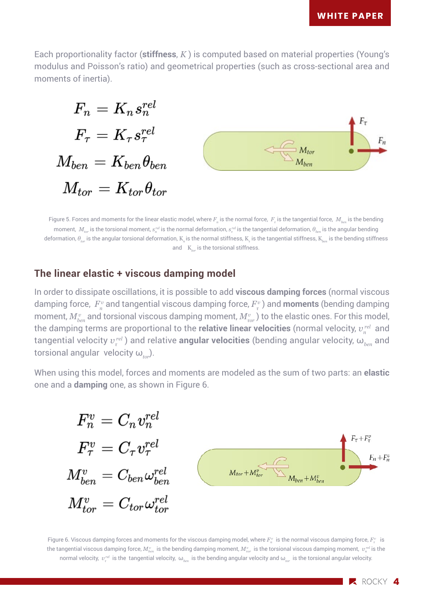$F_n$ 

Each proportionality factor (**stiffness**, *K* ) is computed based on material properties (Young's modulus and Poisson's ratio) and geometrical properties (such as cross-sectional area and moments of inertia).

$$
\begin{aligned} F_n &= K_n s_n^{rel} \\ F_{\tau} &= K_{\tau} s_{\tau}^{rel} \\ M_{ben} &= K_{ben} \theta_{ben} \\ M_{tor} &= K_{tor} \theta_{tor} \end{aligned} \qquad \qquad \begin{aligned} F_{\tau} \\ &= K_{ther} \theta_{ben} \\ H_{\tau} \end{aligned}
$$

Figure 5. Forces and moments for the linear elastic model, where  $F_n$  is the normal force,  $\,F_{\tau}$  is the tangential force,  $\,M_{\rm \it ben}$  is the bending moment,  $M_{tor}$  is the torsional moment,  $s^{rel}_n$  is the normal deformation,  $s^{rel}_n$  is the tangential deformation,  $\theta_{ben}$  is the angular bending deformation, *θtor* is the angular torsional deformation, K*n* is the normal stiffness, K*<sup>τ</sup>* is the tangential stiffness, K*ben* is the bending stiffness and K<sub>tor</sub> is the torsional stiffness.

#### **The linear elastic + viscous damping model**

In order to dissipate oscillations, it is possible to add **viscous damping forces** (normal viscous damping force,  $F_n^v$  and tangential viscous damping force,  $F_\tau^v$  ) and **moments** (bending damping moment,  $M^v_{\scriptscriptstyle{ben}}$  and torsional viscous damping moment,  $M^v_{\scriptscriptstyle{tor}}$  ) to the elastic ones. For this model, the damping terms are proportional to the **relative linear velocities** (normal velocity,  $v_{n}^{\it rel}$  and tangential velocity  $v_\tau^{\textit{rel}}$  ) and relative **angular velocities** (bending angular velocity,  $\omega_{_{ben}}$  and torsional angular velocity ω<sub>tor</sub>).

When using this model, forces and moments are modeled as the sum of two parts: an **elastic** one and a **damping** one, as shown in Figure 6.

$$
\begin{array}{l} F_n^v=C_n v_n^{rel}\\ F_\tau^v=C_\tau v_\tau^{rel}\\ M^v_{ben}=C_{ben}\omega^{rel}_{ben}\\ M^v_{tor}=C_{tor}\omega^{rel}_{tor}\\ \end{array}\qquad \qquad \begin{array}{l} F_{\tau^{+F^v_\tau}}\\ \begin{matrix} \vphantom{\int\limits_{F_{n}+F^n_\tau}}\frac{F_{n}+F^n_\tau}{F_{n}+F^n_\tau} \end{matrix} } \end{array}
$$

Figure 6. Viscous damping forces and moments for the viscous damping model, where  $F^v_n$  is the normal viscous damping force,  $F^v_r$  is the tangential viscous damping force,  $M^v_{ben}$  is the bending damping moment,  $M^v_{\tau or}$  is the torsional viscous damping moment,  $~v^{rel}_n$  is the normal velocity, *v<sup>τ</sup> rel* is the tangential velocity, ω*ben* is the bending angular velocity and ω*tor* is the torsional angular velocity.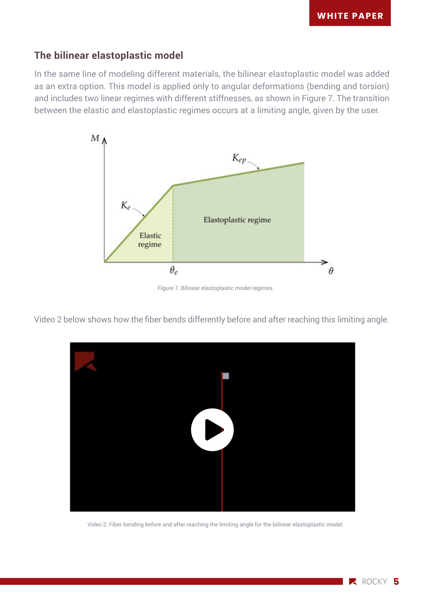#### **The bilinear elastoplastic model**

In the same line of modeling different materials, the bilinear elastoplastic model was added as an extra option. This model is applied only to angular deformations (bending and torsion) and includes two linear regimes with different stiffnesses, as shown in Figure 7. The transition between the elastic and elastoplastic regimes occurs at a limiting angle, given by the user.



Figure 7. Bilinear elastoplastic model regimes.

Video 2 below shows how the fiber bends differently before and after reaching this limiting angle.



Video 2. Fiber bending before and after reaching the limiting angle for the bilinear elastoplastic model.

**2** ROCKY 5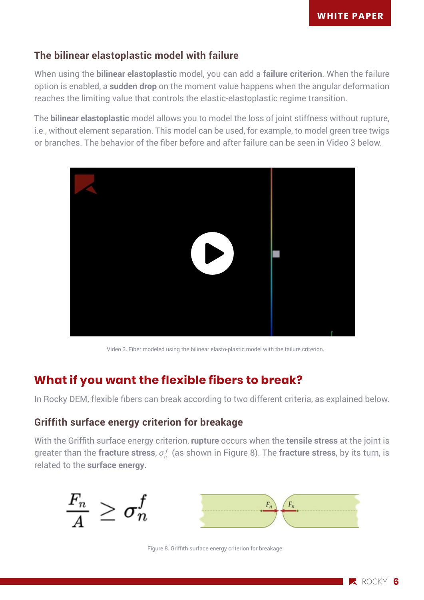#### **The bilinear elastoplastic model with failure**

When using the **bilinear elastoplastic** model, you can add a **failure criterion**. When the failure option is enabled, a **sudden drop** on the moment value happens when the angular deformation reaches the limiting value that controls the elastic-elastoplastic regime transition.

The **bilinear elastoplastic** model allows you to model the loss of joint stiffness without rupture, i.e., without element separation. This model can be used, for example, to model green tree twigs or branches. The behavior of the fiber before and after failure can be seen in Video 3 below.



Video 3. Fiber modeled using the bilinear elasto-plastic model with the failure criterion.

# **What if you want the flexible fibers to break?**

In Rocky DEM, flexible fibers can break according to two different criteria, as explained below.

#### **Griffith surface energy criterion for breakage**

With the Griffith surface energy criterion, **rupture** occurs when the **tensile stress** at the joint is greater than the **fracture stress**, *σ<sup>n</sup> f* (as shown in Figure 8). The **fracture stress**, by its turn, is related to the **surface energy**.



Figure 8. Griffith surface energy criterion for breakage.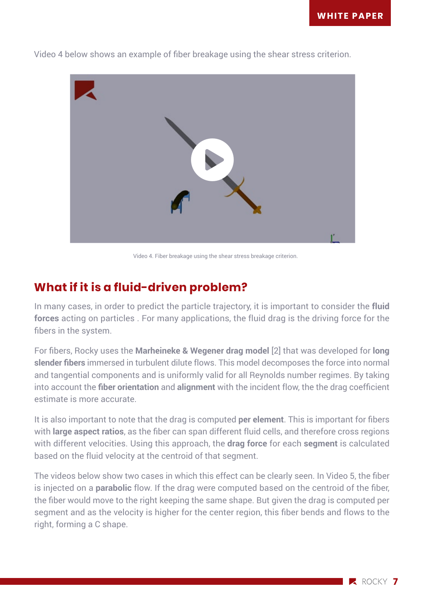

Video 4 below shows an example of fiber breakage using the shear stress criterion.

Video 4. Fiber breakage using the shear stress breakage criterion.

# **What if it is a fluid-driven problem?**

In many cases, in order to predict the particle trajectory, it is important to consider the **fluid forces** acting on particles . For many applications, the fluid drag is the driving force for the fibers in the system.

For fibers, Rocky uses the **Marheineke & Wegener drag model** [2] that was developed for **long slender fibers** immersed in turbulent dilute flows. This model decomposes the force into normal and tangential components and is uniformly valid for all Reynolds number regimes. By taking into account the **fiber orientation** and **alignment** with the incident flow, the the drag coefficient estimate is more accurate.

It is also important to note that the drag is computed **per element**. This is important for fibers with **large aspect ratios**, as the fiber can span different fluid cells, and therefore cross regions with different velocities. Using this approach, the **drag force** for each **segment** is calculated based on the fluid velocity at the centroid of that segment.

The videos below show two cases in which this effect can be clearly seen. In Video 5, the fiber is injected on a **parabolic** flow. If the drag were computed based on the centroid of the fiber, the fiber would move to the right keeping the same shape. But given the drag is computed per segment and as the velocity is higher for the center region, this fiber bends and flows to the right, forming a C shape.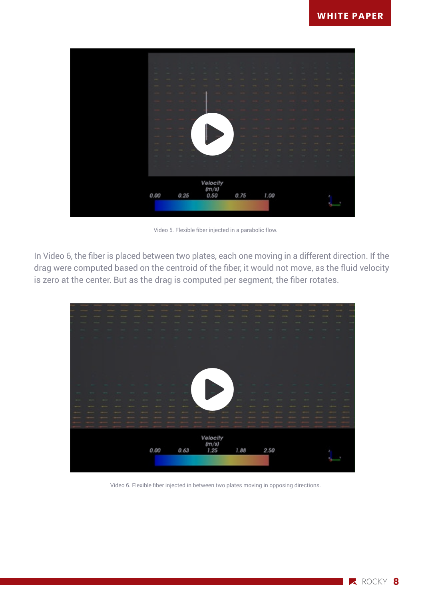

Video 5. Flexible fiber injected in a parabolic flow.

In Video 6, the fiber is placed between two plates, each one moving in a different direction. If the drag were computed based on the centroid of the fiber, it would not move, as the fluid velocity is zero at the center. But as the drag is computed per segment, the fiber rotates.



Video 6. Flexible fiber injected in between two plates moving in opposing directions.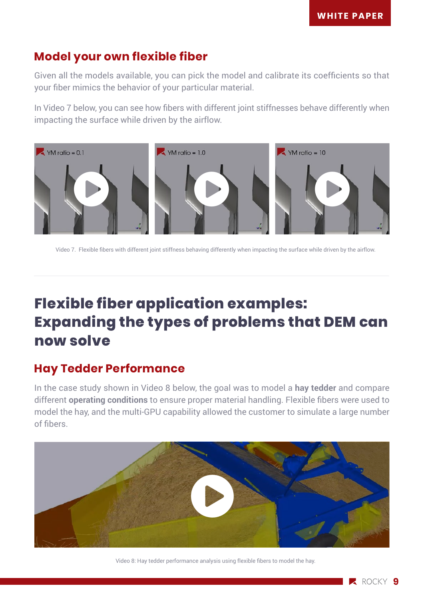## **Model your own flexible fiber**

Given all the models available, you can pick the model and calibrate its coefficients so that your fiber mimics the behavior of your particular material.

In Video 7 below, you can see how fibers with different joint stiffnesses behave differently when impacting the surface while driven by the airflow.



Video 7. Flexible fibers with different joint stiffness behaving differently when impacting the surface while driven by the airflow.

# **Flexible fiber application examples: Expanding the types of problems that DEM can now solve**

## **Hay Tedder Performance**

In the case study shown in Video 8 below, the goal was to model a **hay tedder** and compare different **operating conditions** to ensure proper material handling. Flexible fibers were used to model the hay, and the multi-GPU capability allowed the customer to simulate a large number of fibers.



Video 8: Hay tedder performance analysis using flexible fibers to model the hay.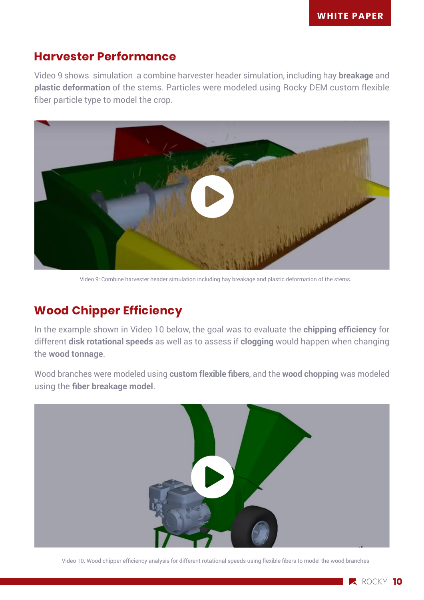### **Harvester Performance**

Video 9 shows simulation a combine harvester header simulation, including hay **breakage** and **plastic deformation** of the stems. Particles were modeled using Rocky DEM custom flexible fiber particle type to model the crop.



Video 9: Combine harvester header simulation including hay breakage and plastic deformation of the stems.

# **Wood Chipper Efficiency**

In the example shown in Video 10 below, the goal was to evaluate the **chipping efficiency** for different **disk rotational speeds** as well as to assess if **clogging** would happen when changing the **wood tonnage**.

Wood branches were modeled using **custom flexible fibers**, and the **wood chopping** was modeled using the **fiber breakage model**.



Video 10. Wood chipper efficiency analysis for different rotational speeds using flexible fibers to model the wood branches

**2** ROCKY 10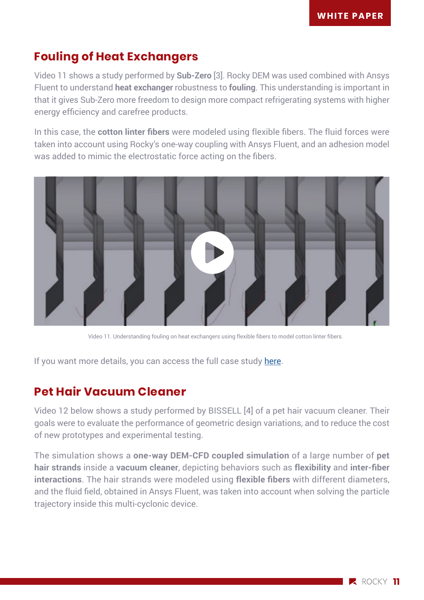# **Fouling of Heat Exchangers**

Video 11 shows a study performed by **Sub-Zero** [3]. Rocky DEM was used combined with Ansys Fluent to understand **heat exchanger** robustness to **fouling**. This understanding is important in that it gives Sub-Zero more freedom to design more compact refrigerating systems with higher energy efficiency and carefree products.

In this case, the **cotton linter fibers** were modeled using flexible fibers. The fluid forces were taken into account using Rocky's one-way coupling with Ansys Fluent, and an adhesion model was added to mimic the electrostatic force acting on the fibers.



Video 11. Understanding fouling on heat exchangers using flexible fibers to model cotton linter fibers.

If you want more details, you can access the full case study [here.](https://rocky.esss.co/library/using-rocky-dem-to-understand-fouling-of-heat-exchangers/)

## **Pet Hair Vacuum Cleaner**

Video 12 below shows a study performed by BISSELL [4] of a pet hair vacuum cleaner. Their goals were to evaluate the performance of geometric design variations, and to reduce the cost of new prototypes and experimental testing.

The simulation shows a **one-way DEM-CFD coupled simulation** of a large number of **pet hair strands** inside a **vacuum cleaner**, depicting behaviors such as **flexibility** and **inter-fiber interactions**. The hair strands were modeled using **flexible fibers** with different diameters, and the fluid field, obtained in Ansys Fluent, was taken into account when solving the particle trajectory inside this multi-cyclonic device.